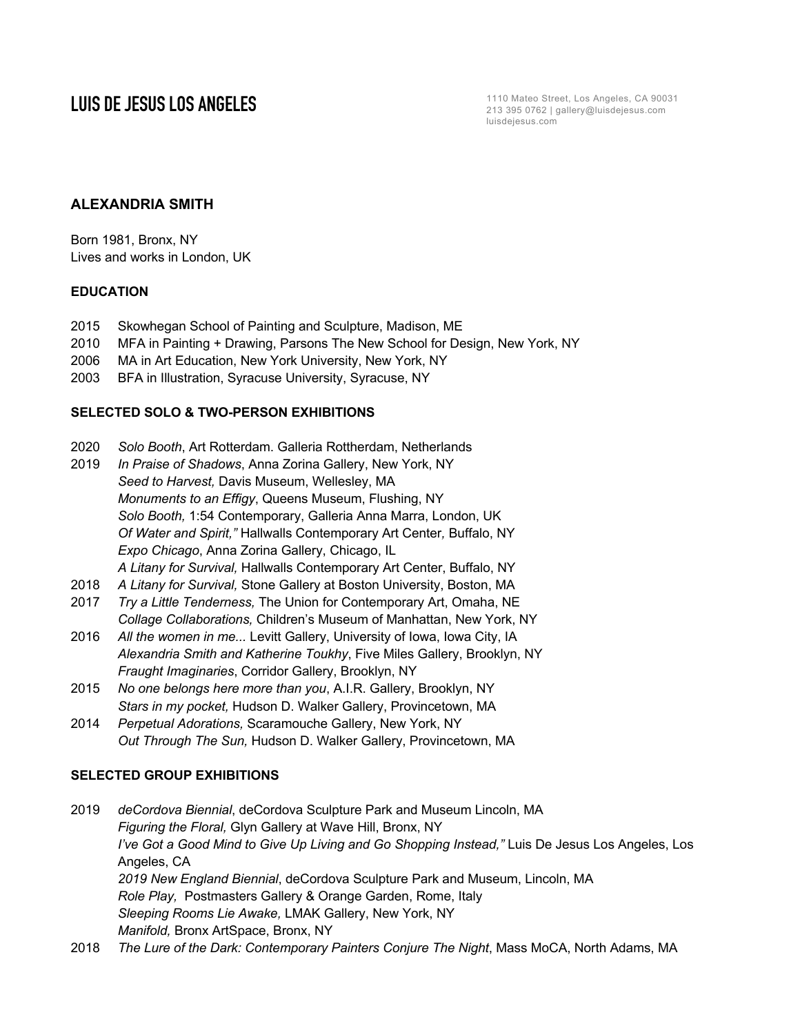**LUIS DE JESUS LOS ANGELES** 213 395 0762 | gallery@luisdejesus.com luisdejesus.com

# **ALEXANDRIA SMITH**

Born 1981, Bronx, NY Lives and works in London, UK

### **EDUCATION**

- 2015 Skowhegan School of Painting and Sculpture, Madison, ME
- 2010 MFA in Painting + Drawing, Parsons The New School for Design, New York, NY
- 2006 MA in Art Education, New York University, New York, NY
- 2003 BFA in Illustration, Syracuse University, Syracuse, NY

### **SELECTED SOLO & TWO-PERSON EXHIBITIONS**

- 2020 *Solo Booth*, Art Rotterdam. Galleria Rottherdam, Netherlands
- 2019 *In Praise of Shadows*, Anna Zorina Gallery, New York, NY *Seed to Harvest,* Davis Museum, Wellesley, MA *Monuments to an Effigy*, Queens Museum, Flushing, NY *Solo Booth,* 1:54 Contemporary, Galleria Anna Marra, London, UK *Of Water and Spirit,"* Hallwalls Contemporary Art Center*,* Buffalo, NY *Expo Chicago*, Anna Zorina Gallery, Chicago, IL *A Litany for Survival,* Hallwalls Contemporary Art Center, Buffalo, NY
- 2018 *A Litany for Survival,* Stone Gallery at Boston University, Boston, MA
- 2017 *Try a Little Tenderness,* The Union for Contemporary Art, Omaha, NE *Collage Collaborations,* Children's Museum of Manhattan, New York, NY
- 2016 *All the women in me...* Levitt Gallery, University of Iowa, Iowa City, IA *Alexandria Smith and Katherine Toukhy*, Five Miles Gallery, Brooklyn, NY *Fraught Imaginaries*, Corridor Gallery, Brooklyn, NY
- 2015 *No one belongs here more than you*, A.I.R. Gallery, Brooklyn, NY *Stars in my pocket,* Hudson D. Walker Gallery, Provincetown, MA
- 2014 *Perpetual Adorations,* Scaramouche Gallery, New York, NY *Out Through The Sun,* Hudson D. Walker Gallery, Provincetown, MA

### **SELECTED GROUP EXHIBITIONS**

- 2019 *deCordova Biennial*, deCordova Sculpture Park and Museum Lincoln, MA *Figuring the Floral,* Glyn Gallery at Wave Hill, Bronx, NY *I've Got a Good Mind to Give Up Living and Go Shopping Instead,"* Luis De Jesus Los Angeles, Los Angeles, CA *2019 New England Biennial*, deCordova Sculpture Park and Museum, Lincoln, MA *Role Play,* Postmasters Gallery & Orange Garden, Rome, Italy *Sleeping Rooms Lie Awake,* LMAK Gallery, New York, NY *Manifold,* Bronx ArtSpace, Bronx, NY
- 2018 *The Lure of the Dark: Contemporary Painters Conjure The Night*, Mass MoCA, North Adams, MA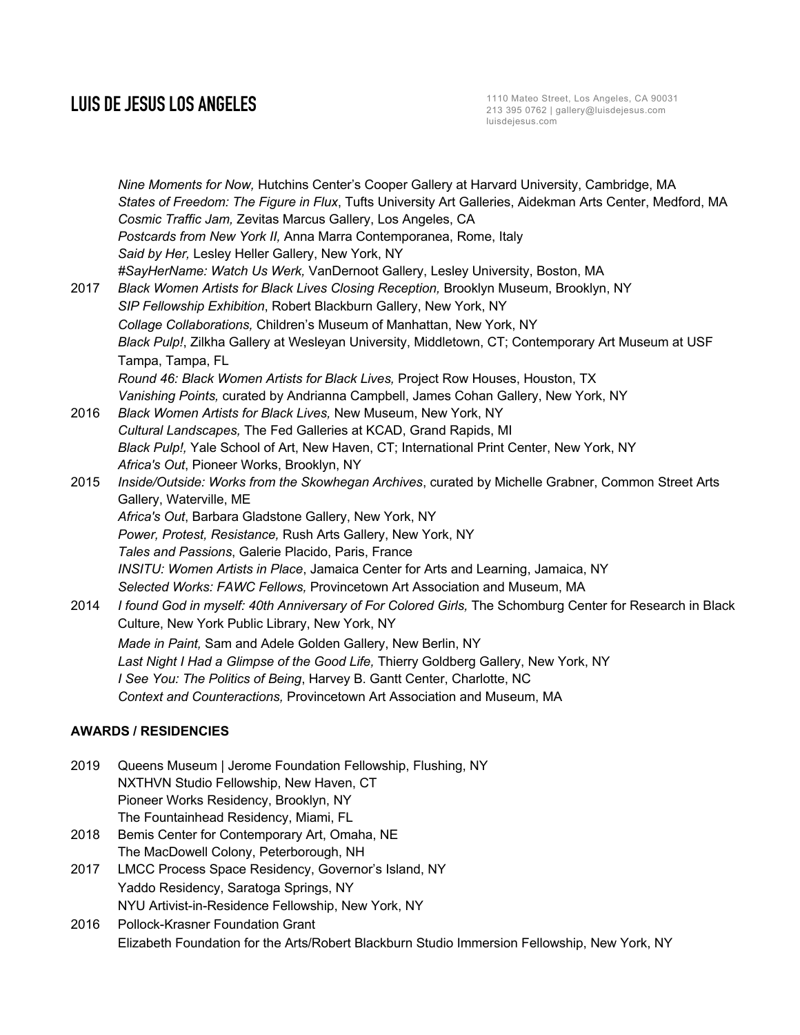# **LUIS DE JESUS LOS ANGELES**

*Nine Moments for Now,* Hutchins Center's Cooper Gallery at Harvard University, Cambridge, MA *States of Freedom: The Figure in Flux*, Tufts University Art Galleries, Aidekman Arts Center, Medford, MA *Cosmic Traffic Jam,* Zevitas Marcus Gallery, Los Angeles, CA *Postcards from New York II,* Anna Marra Contemporanea, Rome, Italy *Said by Her,* Lesley Heller Gallery, New York, NY *#SayHerName: Watch Us Werk,* VanDernoot Gallery, Lesley University, Boston, MA 2017 *Black Women Artists for Black Lives Closing Reception,* Brooklyn Museum, Brooklyn, NY *SIP Fellowship Exhibition*, Robert Blackburn Gallery, New York, NY *Collage Collaborations,* Children's Museum of Manhattan, New York, NY *Black Pulp!*, Zilkha Gallery at Wesleyan University, Middletown, CT; Contemporary Art Museum at USF Tampa, Tampa, FL *Round 46: Black Women Artists for Black Lives,* Project Row Houses, Houston, TX *Vanishing Points,* curated by Andrianna Campbell, James Cohan Gallery, New York, NY 2016 *Black Women Artists for Black Lives,* New Museum, New York, NY *Cultural Landscapes,* The Fed Galleries at KCAD, Grand Rapids, MI *Black Pulp!,* Yale School of Art, New Haven, CT; International Print Center, New York, NY *Africa's Out*, Pioneer Works, Brooklyn, NY 2015 *Inside/Outside: Works from the Skowhegan Archives*, curated by Michelle Grabner, Common Street Arts Gallery, Waterville, ME *Africa's Out*, Barbara Gladstone Gallery, New York, NY *Power, Protest, Resistance,* Rush Arts Gallery, New York, NY *Tales and Passions*, Galerie Placido, Paris, France *INSITU: Women Artists in Place*, Jamaica Center for Arts and Learning, Jamaica, NY *Selected Works: FAWC Fellows,* Provincetown Art Association and Museum, MA 2014 *I found God in myself: 40th Anniversary of For Colored Girls,* The Schomburg Center for Research in Black Culture, New York Public Library, New York, NY *Made in Paint,* Sam and Adele Golden Gallery, New Berlin, NY *Last Night I Had a Glimpse of the Good Life,* Thierry Goldberg Gallery, New York, NY *I See You: The Politics of Being*, Harvey B. Gantt Center, Charlotte, NC *Context and Counteractions,* Provincetown Art Association and Museum, MA **AWARDS / RESIDENCIES** 2019 Queens Museum | Jerome Foundation Fellowship, Flushing, NY NXTHVN Studio Fellowship, New Haven, CT

The Fountainhead Residency, Miami, FL 2018 Bemis Center for Contemporary Art, Omaha, NE The MacDowell Colony, Peterborough, NH

Pioneer Works Residency, Brooklyn, NY

- 2017 LMCC Process Space Residency, Governor's Island, NY Yaddo Residency, Saratoga Springs, NY NYU Artivist-in-Residence Fellowship, New York, NY
- 2016 Pollock-Krasner Foundation Grant Elizabeth Foundation for the Arts/Robert Blackburn Studio Immersion Fellowship, New York, NY